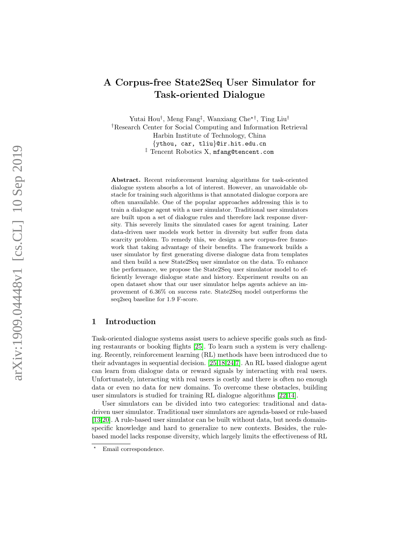# A Corpus-free State2Seq User Simulator for Task-oriented Dialogue

Yutai Hou<sup>†</sup>, Meng Fang<sup>‡</sup>, Wanxiang Che<sup>\*†</sup>, Ting Liu<sup>†</sup> †Research Center for Social Computing and Information Retrieval Harbin Institute of Technology, China {ythou, car, tliu}@ir.hit.edu.cn ‡ Tencent Robotics X, mfang@tencent.com

Abstract. Recent reinforcement learning algorithms for task-oriented dialogue system absorbs a lot of interest. However, an unavoidable obstacle for training such algorithms is that annotated dialogue corpora are often unavailable. One of the popular approaches addressing this is to train a dialogue agent with a user simulator. Traditional user simulators are built upon a set of dialogue rules and therefore lack response diversity. This severely limits the simulated cases for agent training. Later data-driven user models work better in diversity but suffer from data scarcity problem. To remedy this, we design a new corpus-free framework that taking advantage of their benefits. The framework builds a user simulator by first generating diverse dialogue data from templates and then build a new State2Seq user simulator on the data. To enhance the performance, we propose the State2Seq user simulator model to efficiently leverage dialogue state and history. Experiment results on an open dataset show that our user simulator helps agents achieve an improvement of 6.36% on success rate. State2Seq model outperforms the seq2seq baseline for 1 .9 F-score.

# 1 Introduction

Task-oriented dialogue systems assist users to achieve specific goals such as finding restaurants or booking flights [\[25\]](#page-13-0). To learn such a system is very challenging. Recently, reinforcement learning (RL) methods have been introduced due to their advantages in sequential decision. [\[25,](#page-13-0)[18,](#page-13-1)[24,](#page-13-2)[7\]](#page-12-0). An RL based dialogue agent can learn from dialogue data or reward signals by interacting with real users. Unfortunately, interacting with real users is costly and there is often no enough data or even no data for new domains. To overcome these obstacles, building user simulators is studied for training RL dialogue algorithms [\[22,](#page-13-3)[14\]](#page-12-1).

User simulators can be divided into two categories: traditional and datadriven user simulator. Traditional user simulators are agenda-based or rule-based [\[13](#page-12-2)[,20\]](#page-13-4). A rule-based user simulator can be built without data, but needs domainspecific knowledge and hard to generalize to new contexts. Besides, the rulebased model lacks response diversity, which largely limits the effectiveness of RL

<sup>?</sup> Email correspondence.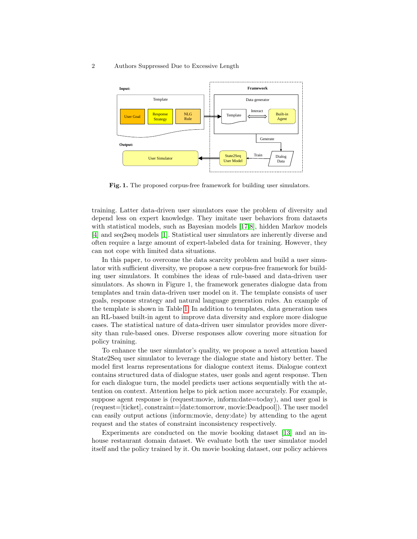#### 2 Authors Suppressed Due to Excessive Length



<span id="page-1-0"></span>Fig. 1. The proposed corpus-free framework for building user simulators.

training. Latter data-driven user simulators ease the problem of diversity and depend less on expert knowledge. They imitate user behaviors from datasets with statistical models, such as Bayesian models [\[17,](#page-12-3)[8\]](#page-12-4), hidden Markov models [\[4\]](#page-12-5) and seq2seq models [\[1\]](#page-12-6). Statistical user simulators are inherently diverse and often require a large amount of expert-labeled data for training. However, they can not cope with limited data situations.

In this paper, to overcome the data scarcity problem and build a user simulator with sufficient diversity, we propose a new corpus-free framework for building user simulators. It combines the ideas of rule-based and data-driven user simulators. As shown in Figure 1, the framework generates dialogue data from templates and train data-driven user model on it. The template consists of user goals, response strategy and natural language generation rules. An example of the template is shown in Table [1.](#page-2-0) In addition to templates, data generation uses an RL-based built-in agent to improve data diversity and explore more dialogue cases. The statistical nature of data-driven user simulator provides more diversity than rule-based ones. Diverse responses allow covering more situation for policy training.

To enhance the user simulator's quality, we propose a novel attention based State2Seq user simulator to leverage the dialogue state and history better. The model first learns representations for dialogue context items. Dialogue context contains structured data of dialogue states, user goals and agent response. Then for each dialogue turn, the model predicts user actions sequentially with the attention on context. Attention helps to pick action more accurately. For example, suppose agent response is (request:movie, inform:date=today), and user goal is (request=[ticket], constraint=[date:tomorrow, movie:Deadpool]). The user model can easily output actions (inform:movie, deny:date) by attending to the agent request and the states of constraint inconsistency respectively.

Experiments are conducted on the movie booking dataset [\[13\]](#page-12-2) and an inhouse restaurant domain dataset. We evaluate both the user simulator model itself and the policy trained by it. On movie booking dataset, our policy achieves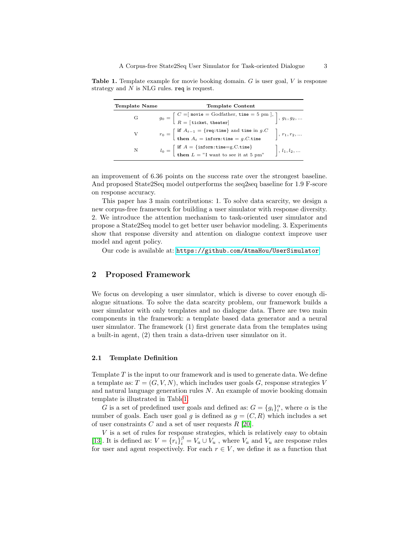<span id="page-2-0"></span>

| Template Name | Template Content                                                                                                                                                                                                   |                      |
|---------------|--------------------------------------------------------------------------------------------------------------------------------------------------------------------------------------------------------------------|----------------------|
| G             | $g_0 = \left[ \begin{array}{l} C = \mid \text{move} = \text{Godfather}, \, \text{time} = 5 \text{ pm} \mid, \\[1mm] R = \left[ \text{ ticket}, \, \text{theater} \right] \end{array} \right], \, g_1, g_2, \ldots$ |                      |
| V             | $r_0 = \begin{bmatrix} \text{if } A_{t-1} = \{\text{req} : \text{time} \} \text{ and time in } g.C \\ \text{then } A_t = \text{inform:time} = g.C.\text{time} \end{bmatrix}$                                       | $\Big\}, r_1, r_2, $ |
| N             | $l_0 = \begin{bmatrix} \text{if } A = \{\text{inform} : \text{time} = g.C.\text{time} \} \\ \text{then } L = "I \text{ want to see it at 5 pm"} \end{bmatrix}$                                                     | $\Big\}, l_1, l_2, $ |

Table 1. Template example for movie booking domain. G is user goal, V is response strategy and  $N$  is NLG rules. req is request.

an improvement of 6.36 points on the success rate over the strongest baseline. And proposed State2Seq model outperforms the seq2seq baseline for 1.9 F-score on response accuracy.

This paper has 3 main contributions: 1. To solve data scarcity, we design a new corpus-free framework for building a user simulator with response diversity. 2. We introduce the attention mechanism to task-oriented user simulator and propose a State2Seq model to get better user behavior modeling. 3. Experiments show that response diversity and attention on dialogue context improve user model and agent policy.

Our code is available at: <https://github.com/AtmaHou/UserSimulator>

# 2 Proposed Framework

We focus on developing a user simulator, which is diverse to cover enough dialogue situations. To solve the data scarcity problem, our framework builds a user simulator with only templates and no dialogue data. There are two main components in the framework: a template based data generator and a neural user simulator. The framework (1) first generate data from the templates using a built-in agent, (2) then train a data-driven user simulator on it.

# 2.1 Template Definition

Template  $T$  is the input to our framework and is used to generate data. We define a template as:  $T = (G, V, N)$ , which includes user goals G, response strategies V and natural language generation rules  $N$ . An example of movie booking domain template is illustrated in Tabl[e1.](#page-2-0)

G is a set of predefined user goals and defined as:  $G = \{g_i\}_i^{\alpha}$ , where  $\alpha$  is the number of goals. Each user goal g is defined as  $g = (C, R)$  which includes a set of user constraints C and a set of user requests  $R$  [\[20\]](#page-13-4).

 $V$  is a set of rules for response strategies, which is relatively easy to obtain [\[13\]](#page-12-2). It is defined as:  $V = \{r_i\}_{i=0}^{\beta} = V_a \cup V_u$ , where  $V_a$  and  $V_u$  are response rules for user and agent respectively. For each  $r \in V$ , we define it as a function that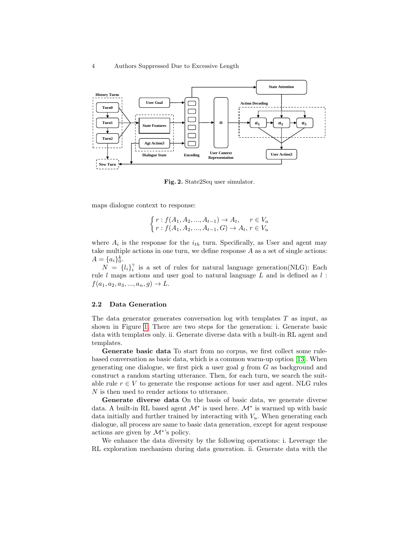

<span id="page-3-0"></span>Fig. 2. State2Seq user simulator.

maps dialogue context to response:

$$
\begin{cases}\nr: f(A_1, A_2, ..., A_{t-1}) \to A_t, & r \in V_a \\
r: f(A_1, A_2, ..., A_{t-1}, G) \to A_t, & r \in V_u\n\end{cases}
$$

where  $A_i$  is the response for the  $i_{th}$  turn. Specifically, as User and agent may take multiple actions in one turn, we define response  $A$  as a set of single actions:  $A = \{a_i\}_0^k.$ 

 $N = \{l_i\}_{i}^{\gamma}$  is a set of rules for natural language generation(NLG): Each rule  $l$  maps actions and user goal to natural language  $L$  and is defined as  $l$ :  $f(a_1, a_2, a_3, ..., a_n, g) \rightarrow L.$ 

### 2.2 Data Generation

The data generator generates conversation log with templates  $T$  as input, as shown in Figure [1.](#page-1-0) There are two steps for the generation: i. Generate basic data with templates only. ii. Generate diverse data with a built-in RL agent and templates.

Generate basic data To start from no corpus, we first collect some rulebased conversation as basic data, which is a common warm-up option [\[13\]](#page-12-2). When generating one dialogue, we first pick a user goal  $g$  from  $G$  as background and construct a random starting utterance. Then, for each turn, we search the suitable rule  $r \in V$  to generate the response actions for user and agent. NLG rules N is then used to render actions to utterance.

Generate diverse data On the basis of basic data, we generate diverse data. A built-in RL based agent  $\mathcal{M}^*$  is used here.  $\mathcal{M}^*$  is warmed up with basic data initially and further trained by interacting with  $V_u$ . When generating each dialogue, all process are same to basic data generation, except for agent response actions are given by  $\mathcal{M}^*$ 's policy.

We enhance the data diversity by the following operations: i. Leverage the RL exploration mechanism during data generation. ii. Generate data with the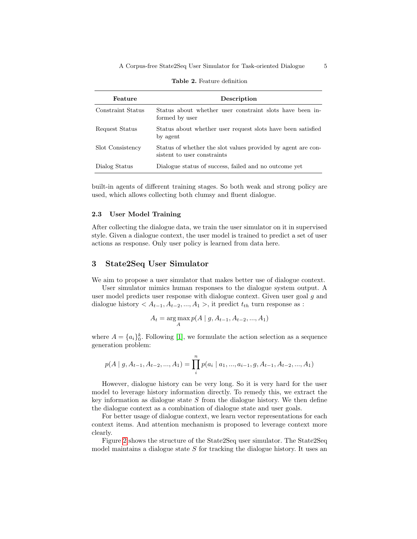| Feature           | Description                                                                                 |
|-------------------|---------------------------------------------------------------------------------------------|
| Constraint Status | Status about whether user constraint slots have been in-<br>formed by user                  |
| Request Status    | Status about whether user request slots have been satisfied<br>by agent                     |
| Slot Consistency  | Status of whether the slot values provided by agent are con-<br>sistent to user constraints |
| Dialog Status     | Dialogue status of success, failed and no outcome yet                                       |

<span id="page-4-0"></span>Table 2. Feature definition

built-in agents of different training stages. So both weak and strong policy are used, which allows collecting both clumsy and fluent dialogue.

## 2.3 User Model Training

After collecting the dialogue data, we train the user simulator on it in supervised style. Given a dialogue context, the user model is trained to predict a set of user actions as response. Only user policy is learned from data here.

# 3 State2Seq User Simulator

We aim to propose a user simulator that makes better use of dialogue context.

User simulator mimics human responses to the dialogue system output. A user model predicts user response with dialogue context. Given user goal g and dialogue history  $\langle A_{t-1}, A_{t-2},..., A_1 \rangle$ , it predict  $t_{th}$  turn response as :

$$
A_t = \arg\max_{A} p(A \mid g, A_{t-1}, A_{t-2}, ..., A_1)
$$

where  $A = \{a_i\}_0^k$ . Following [\[1\]](#page-12-6), we formulate the action selection as a sequence generation problem:

$$
p(A \mid g, A_{t-1}, A_{t-2}, ..., A_1) = \prod_{i=1}^{n} p(a_i \mid a_1, ..., a_{i-1}, g, A_{t-1}, A_{t-2}, ..., A_1)
$$

However, dialogue history can be very long. So it is very hard for the user model to leverage history information directly. To remedy this, we extract the key information as dialogue state  $S$  from the dialogue history. We then define the dialogue context as a combination of dialogue state and user goals.

For better usage of dialogue context, we learn vector representations for each context items. And attention mechanism is proposed to leverage context more clearly.

Figure [2](#page-3-0) shows the structure of the State2Seq user simulator. The State2Seq model maintains a dialogue state  $S$  for tracking the dialogue history. It uses an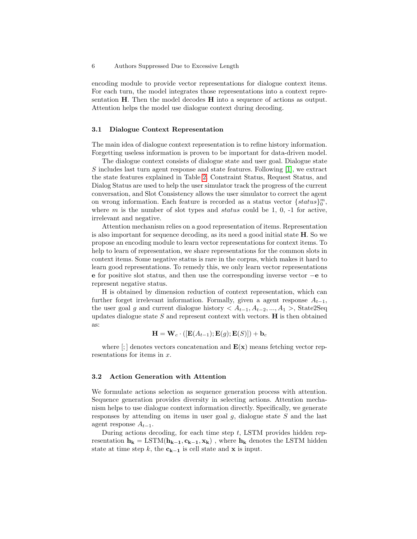encoding module to provide vector representations for dialogue context items. For each turn, the model integrates those representations into a context representation H. Then the model decodes H into a sequence of actions as output. Attention helps the model use dialogue context during decoding.

### 3.1 Dialogue Context Representation

The main idea of dialogue context representation is to refine history information. Forgetting useless information is proven to be important for data-driven model.

The dialogue context consists of dialogue state and user goal. Dialogue state S includes last turn agent response and state features. Following [\[1\]](#page-12-6), we extract the state features explained in Table [2.](#page-4-0) Constraint Status, Request Status, and Dialog Status are used to help the user simulator track the progress of the current conversation, and Slot Consistency allows the user simulator to correct the agent on wrong information. Each feature is recorded as a status vector  ${^{status}}\substack{m\\0}$ , where  $m$  is the number of slot types and *status* could be 1, 0, -1 for active, irrelevant and negative.

Attention mechanism relies on a good representation of items. Representation is also important for sequence decoding, as its need a good initial state H. So we propose an encoding module to learn vector representations for context items. To help to learn of representation, we share representations for the common slots in context items. Some negative status is rare in the corpus, which makes it hard to learn good representations. To remedy this, we only learn vector representations e for positive slot status, and then use the corresponding inverse vector −e to represent negative status.

H is obtained by dimension reduction of context representation, which can further forget irrelevant information. Formally, given a agent response  $A_{t-1}$ , the user goal g and current dialogue history  $\langle A_{t-1}, A_{t-2},..., A_1 \rangle$ , State2Seq updates dialogue state  $S$  and represent context with vectors.  $H$  is then obtained as:

$$
\mathbf{H} = \mathbf{W}_c \cdot \left( \left[ \mathbf{E}(A_{t-1}); \mathbf{E}(g); \mathbf{E}(S) \right] \right) + \mathbf{b}_c
$$

where  $\left[\cdot\right]$  denotes vectors concatenation and  $\mathbf{E}(\mathbf{x})$  means fetching vector representations for items in x.

#### 3.2 Action Generation with Attention

We formulate actions selection as sequence generation process with attention. Sequence generation provides diversity in selecting actions. Attention mechanism helps to use dialogue context information directly. Specifically, we generate responses by attending on items in user goal  $g$ , dialogue state  $S$  and the last agent response  $A_{t-1}$ .

During actions decoding, for each time step  $t$ , LSTM provides hidden representation  $h_k = \text{LSTM}(h_{k-1}, c_{k-1}, x_k)$ , where  $h_k$  denotes the LSTM hidden state at time step k, the  $c_{k-1}$  is cell state and x is input.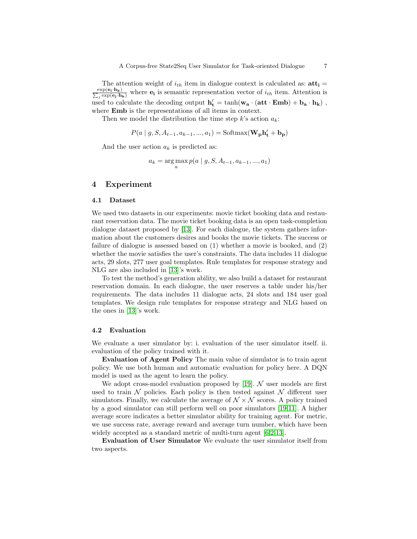The attention weight of  $i_{th}$  item in dialogue context is calculated as:  $\text{att}_i =$  $\frac{\exp(\mathbf{e_i}\cdot\mathbf{h_k})}{\sum_i \exp(\mathbf{e_i}\cdot\mathbf{h}_i)}$  $\frac{\exp(e_i \cdot n_k)}{e_i \exp(e_j \cdot h_k)}$  where  $e_i$  is semantic representation vector of  $i_{th}$  item. Attention is used to calculate the decoding output  ${\bf h'_{t}} = \tanh({\bf w_{a}}\cdot({\bf att}\cdot{\bf Emb}) + {\bf b_{a}}\cdot{\bf h_{k}})$  , where **Emb** is the representations of all items in context.

Then we model the distribution the time step  $k$ 's action  $a_k$ :

$$
P(a \mid g, S, A_{t-1}, a_{k-1}, ..., a_1) = \text{Softmax}(\mathbf{W_p}\mathbf{h_t'} + \mathbf{b_p})
$$

And the user action  $a_k$  is predicted as:

$$
a_k = \arg\max_a p(a \mid g, S, A_{t-1}, a_{k-1}, ..., a_1)
$$

# 4 Experiment

#### 4.1 Dataset

We used two datasets in our experiments: movie ticket booking data and restaurant reservation data. The movie ticket booking data is an open task-completion dialogue dataset proposed by [\[13\]](#page-12-2). For each dialogue, the system gathers information about the customers desires and books the movie tickets. The success or failure of dialogue is assessed based on (1) whether a movie is booked, and (2) whether the movie satisfies the user's constraints. The data includes 11 dialogue acts, 29 slots, 277 user goal templates. Rule templates for response strategy and NLG are also included in [\[13\]](#page-12-2)'s work.

To test the method's generation ability, we also build a dataset for restaurant reservation domain. In each dialogue, the user reserves a table under his/her requirements. The data includes 11 dialogue acts, 24 slots and 184 user goal templates. We design rule templates for response strategy and NLG based on the ones in [\[13\]](#page-12-2)'s work.

### 4.2 Evaluation

We evaluate a user simulator by: i. evaluation of the user simulator itself. ii. evaluation of the policy trained with it.

Evaluation of Agent Policy The main value of simulator is to train agent policy. We use both human and automatic evaluation for policy here. A DQN model is used as the agent to learn the policy.

We adopt cross-model evaluation proposed by  $[19]$ . N user models are first used to train  $N$  policies. Each policy is then tested against  $N$  different user simulators. Finally, we calculate the average of  $\mathcal{N} \times \mathcal{N}$  scores. A policy trained by a good simulator can still perform well on poor simulators [\[19,](#page-13-5)[11\]](#page-12-7). A higher average score indicates a better simulator ability for training agent. For metric, we use success rate, average reward and average turn number, which have been widely accepted as a standard metric of multi-turn agent [\[6,](#page-12-8)[2,](#page-12-9)[13\]](#page-12-2).

Evaluation of User Simulator We evaluate the user simulator itself from two aspects.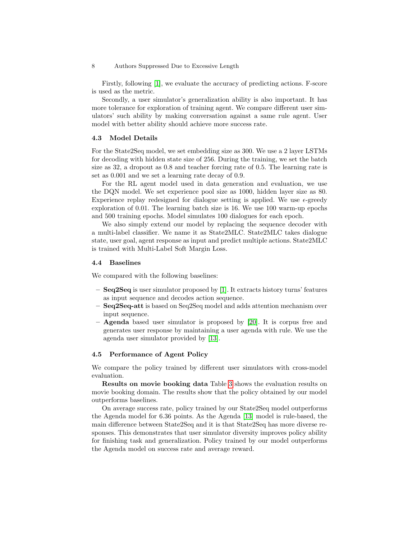#### 8 Authors Suppressed Due to Excessive Length

Firstly, following [\[1\]](#page-12-6), we evaluate the accuracy of predicting actions. F-score is used as the metric.

Secondly, a user simulator's generalization ability is also important. It has more tolerance for exploration of training agent. We compare different user simulators' such ability by making conversation against a same rule agent. User model with better ability should achieve more success rate.

## 4.3 Model Details

For the State2Seq model, we set embedding size as 300. We use a 2 layer LSTMs for decoding with hidden state size of 256. During the training, we set the batch size as 32, a dropout as 0.8 and teacher forcing rate of 0.5. The learning rate is set as 0.001 and we set a learning rate decay of 0.9.

For the RL agent model used in data generation and evaluation, we use the DQN model. We set experience pool size as 1000, hidden layer size as 80. Experience replay redesigned for dialogue setting is applied. We use  $\epsilon$ -greedy exploration of 0.01. The learning batch size is 16. We use 100 warm-up epochs and 500 training epochs. Model simulates 100 dialogues for each epoch.

We also simply extend our model by replacing the sequence decoder with a multi-label classifier. We name it as State2MLC. State2MLC takes dialogue state, user goal, agent response as input and predict multiple actions. State2MLC is trained with Multi-Label Soft Margin Loss.

### 4.4 Baselines

We compared with the following baselines:

- Seq2Seq is user simulator proposed by [\[1\]](#page-12-6). It extracts history turns' features as input sequence and decodes action sequence.
- Seq2Seq-att is based on Seq2Seq model and adds attention mechanism over input sequence.
- Agenda based user simulator is proposed by [\[20\]](#page-13-4). It is corpus free and generates user response by maintaining a user agenda with rule. We use the agenda user simulator provided by [\[13\]](#page-12-2).

## 4.5 Performance of Agent Policy

We compare the policy trained by different user simulators with cross-model evaluation.

Results on movie booking data Table [3](#page-8-0) shows the evaluation results on movie booking domain. The results show that the policy obtained by our model outperforms baselines.

On average success rate, policy trained by our State2Seq model outperforms the Agenda model for 6.36 points. As the Agenda [\[13\]](#page-12-2) model is rule-based, the main difference between State2Seq and it is that State2Seq has more diverse responses. This demonstrates that user simulator diversity improves policy ability for finishing task and generalization. Policy trained by our model outperforms the Agenda model on success rate and average reward.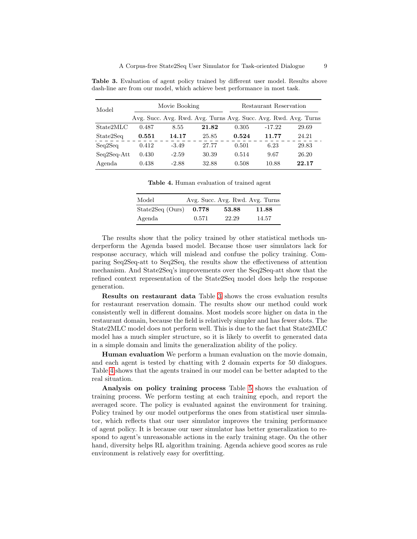| Model         | Movie Booking |         |                                                                 | Restaurant Reservation |          |       |
|---------------|---------------|---------|-----------------------------------------------------------------|------------------------|----------|-------|
|               |               |         | Avg. Succ. Avg. Rwd. Avg. Turns Avg. Succ. Avg. Rwd. Avg. Turns |                        |          |       |
| State2MLC     | 0.487         | 8.55    | 21.82                                                           | 0.305                  | $-17.22$ | 29.69 |
| State2Seq     | 0.551         | 14.17   | 25.85                                                           | 0.524                  | 11.77    | 24.21 |
| Seq2Seq       | 0.412         | $-3.49$ | 27.77                                                           | 0.501                  | 6.23     | 29.83 |
| $Seq2Seq-Att$ | 0.430         | $-2.59$ | 30.39                                                           | 0.514                  | 9.67     | 26.20 |
| Agenda        | 0.438         | $-2.88$ | 32.88                                                           | 0.508                  | 10.88    | 22.17 |

<span id="page-8-0"></span>Table 3. Evaluation of agent policy trained by different user model. Results above dash-line are from our model, which achieve best performance in most task.

<span id="page-8-1"></span>Table 4. Human evaluation of trained agent

| Model            |       |       | Avg. Succ. Avg. Rwd. Avg. Turns |
|------------------|-------|-------|---------------------------------|
| State2Seq (Ours) | 0.778 | 53.88 | 11.88                           |
| Agenda           | 0.571 | 22.29 | 14.57                           |

The results show that the policy trained by other statistical methods underperform the Agenda based model. Because those user simulators lack for response accuracy, which will mislead and confuse the policy training. Comparing Seq2Seq-att to Seq2Seq, the results show the effectiveness of attention mechanism. And State2Seq's improvements over the Seq2Seq-att show that the refined context representation of the State2Seq model does help the response generation.

Results on restaurant data Table [3](#page-8-0) shows the cross evaluation results for restaurant reservation domain. The results show our method could work consistently well in different domains. Most models score higher on data in the restaurant domain, because the field is relatively simpler and has fewer slots. The State2MLC model does not perform well. This is due to the fact that State2MLC model has a much simpler structure, so it is likely to overfit to generated data in a simple domain and limits the generalization ability of the policy.

Human evaluation We perform a human evaluation on the movie domain, and each agent is tested by chatting with 2 domain experts for 50 dialogues. Table [4](#page-8-1) shows that the agents trained in our model can be better adapted to the real situation.

Analysis on policy training process Table [5](#page-9-0) shows the evaluation of training process. We perform testing at each training epoch, and report the averaged score. The policy is evaluated against the environment for training. Policy trained by our model outperforms the ones from statistical user simulator, which reflects that our user simulator improves the training performance of agent policy. It is because our user simulator has better generalization to respond to agent's unreasonable actions in the early training stage. On the other hand, diversity helps RL algorithm training. Agenda achieve good scores as rule environment is relatively easy for overfitting.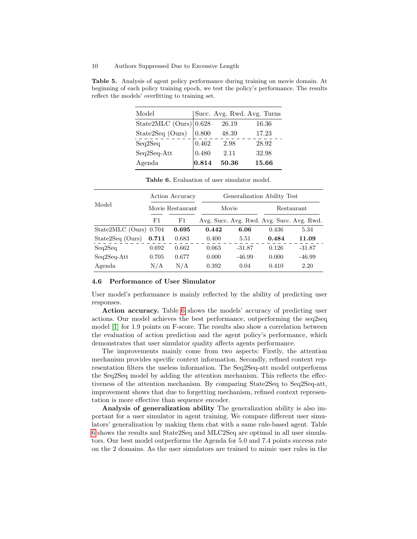<span id="page-9-0"></span>Table 5. Analysis of agent policy performance during training on movie domain. At beginning of each policy training epoch, we test the policy's performance. The results reflect the models' overfitting to training set.

| Model                    |           |       | Succ. Avg. Rwd. Avg. Turns |
|--------------------------|-----------|-------|----------------------------|
| State2MLC $(Ours)$ 0.628 |           | 26.19 | 16.36                      |
| State2Seq (Ours)         | 0.800     | 48.39 | 17.23                      |
| Seq2Seq                  | $0.462\,$ | 2.98  | 28.92                      |
| Seq2Seq-Att              | 0.480     | 2.11  | 32.98                      |
| Agenda                   | 0.814     | 50.36 | 15.66                      |

|                          | Action Accuracy<br>Movie Restaurant |       | Generalization Ability Test |          |                                           |          |
|--------------------------|-------------------------------------|-------|-----------------------------|----------|-------------------------------------------|----------|
| Model                    |                                     |       | Movie                       |          | Restaurant                                |          |
|                          | F1                                  | F1    |                             |          | Avg. Succ. Avg. Rwd. Avg. Succ. Avg. Rwd. |          |
| State2MLC (Ours) $0.704$ |                                     | 0.695 | 0.442                       | 6.06     | 0.436                                     | 5.34     |
| State2Seq (Ours)         | 0.711                               | 0.683 | 0.400                       | 5.51     | 0.484                                     | 11.09    |
| Seq2Seq                  | 0.692                               | 0.662 | 0.063                       | $-31.87$ | 0.126                                     | $-31.87$ |
| $Seq2Seq-Att$            | 0.705                               | 0.677 | 0.000                       | $-46.99$ | 0.000                                     | $-46.99$ |
| Agenda                   | N/A                                 | N/A   | 0.392                       | 0.04     | 0.410                                     | 2.20     |

<span id="page-9-1"></span>Table 6. Evaluation of user simulator model.

#### 4.6 Performance of User Simulator

User model's performance is mainly reflected by the ability of predicting user responses.

Action accuracy. Table [6](#page-9-1) shows the models' accuracy of predicting user actions. Our model achieves the best performance, outperforming the seq2seq model [\[1\]](#page-12-6) for 1.9 points on F-score. The results also show a correlation between the evaluation of action prediction and the agent policy's performance, which demonstrates that user simulator quality affects agents performance.

The improvements mainly come from two aspects: Firstly, the attention mechanism provides specific context information. Secondly, refined context representation filters the useless information. The Seq2Seq-att model outperforms the Seq2Seq model by adding the attention mechanism. This reflects the effectiveness of the attention mechanism. By comparing State2Seq to Seq2Seq-att, improvement shows that due to forgetting mechanism, refined context representation is more effective than sequence encoder.

Analysis of generalization ability The generalization ability is also important for a user simulator in agent training. We compare different user simulators' generalization by making them chat with a same rule-based agent. Table [6](#page-9-1) shows the results and State2Seq and MLC2Seq are optimal in all user simulators. Our best model outperforms the Agenda for 5.0 and 7.4 points success rate on the 2 domains. As the user simulators are trained to mimic user rules in the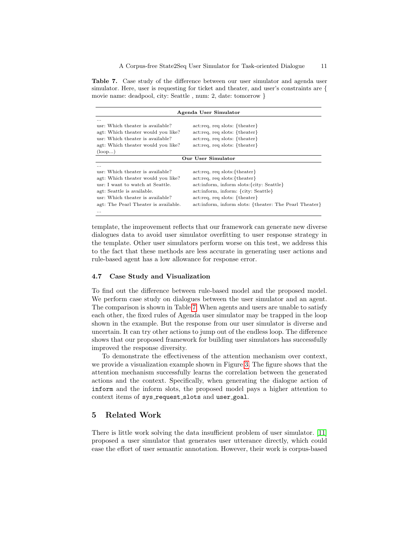<span id="page-10-0"></span>Table 7. Case study of the difference between our user simulator and agenda user simulator. Here, user is requesting for ticket and theater, and user's constraints are { movie name: deadpool, city: Seattle , num: 2, date: tomorrow }

| Agenda User Simulator                |                                                        |  |  |
|--------------------------------------|--------------------------------------------------------|--|--|
| .                                    |                                                        |  |  |
| usr: Which theater is available?     | $act:req, req slots: {theater}$                        |  |  |
| agt: Which theater would you like?   | $act:req, req slots: {theater}$                        |  |  |
| usr: Which theater is available?     | $act:req, req slots: {theater}$                        |  |  |
| agt: Which theater would you like?   | $act:req, req slots: {theater}$                        |  |  |
| $\left( \text{loop} \dots \right)$   |                                                        |  |  |
|                                      | Our User Simulator                                     |  |  |
| .                                    |                                                        |  |  |
| usr: Which theater is available?     | $act:req, req slots: {theater}$                        |  |  |
| agt: Which theater would you like?   | act:req, req slots: {theater}                          |  |  |
| usr: I want to watch at Seattle.     | act:inform, inform slots: {city: Seattle}              |  |  |
| agt: Seattle is available.           | act:inform, inform: {city: Seattle}                    |  |  |
| usr: Which theater is available?     | $act:req, req slots: {theater}$                        |  |  |
| agt: The Pearl Theater is available. | act:inform, inform slots: {theater: The Pearl Theater} |  |  |
| .                                    |                                                        |  |  |

template, the improvement reflects that our framework can generate new diverse dialogues data to avoid user simulator overfitting to user response strategy in the template. Other user simulators perform worse on this test, we address this to the fact that these methods are less accurate in generating user actions and rule-based agent has a low allowance for response error.

### 4.7 Case Study and Visualization

To find out the difference between rule-based model and the proposed model. We perform case study on dialogues between the user simulator and an agent. The comparison is shown in Table [7.](#page-10-0) When agents and users are unable to satisfy each other, the fixed rules of Agenda user simulator may be trapped in the loop shown in the example. But the response from our user simulator is diverse and uncertain. It can try other actions to jump out of the endless loop. The difference shows that our proposed framework for building user simulators has successfully improved the response diversity.

To demonstrate the effectiveness of the attention mechanism over context, we provide a visualization example shown in Figure [3.](#page-11-0) The figure shows that the attention mechanism successfully learns the correlation between the generated actions and the context. Specifically, when generating the dialogue action of inform and the inform slots, the proposed model pays a higher attention to context items of sys\_request\_slots and user\_goal.

# 5 Related Work

There is little work solving the data insufficient problem of user simulator. [\[11\]](#page-12-7) proposed a user simulator that generates user utterance directly, which could ease the effort of user semantic annotation. However, their work is corpus-based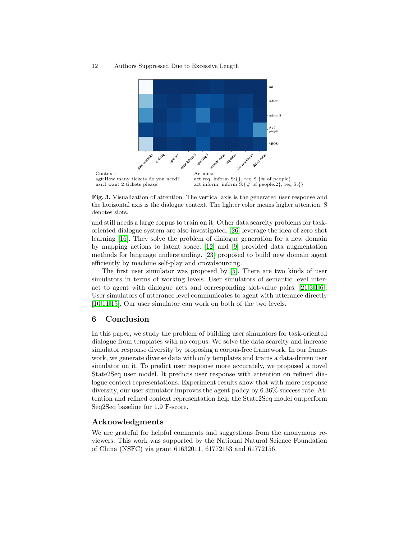#### 12 Authors Suppressed Due to Excessive Length



<span id="page-11-0"></span>Fig. 3. Visualization of attention. The vertical axis is the generated user response and the horizontal axis is the dialogue context. The lighter color means higher attention. S denotes slots.

and still needs a large corpus to train on it. Other data scarcity problems for taskoriented dialogue system are also investigated. [\[26\]](#page-13-6) leverage the idea of zero shot learning [\[16\]](#page-12-10). They solve the problem of dialogue generation for a new domain by mapping actions to latent space. [\[12\]](#page-12-11) and [\[9\]](#page-12-12) provided data augmentation methods for language understanding. [\[23\]](#page-13-7) proposed to build new domain agent efficiently by machine self-play and crowdsourcing.

The first user simulator was proposed by [\[5\]](#page-12-13). There are two kinds of user simulators in terms of working levels. User simulators of semantic level interact to agent with dialogue acts and corresponding slot-value pairs. [\[21,](#page-13-8)[3,](#page-12-14)[1,](#page-12-6)[6\]](#page-12-8). User simulators of utterance level communicates to agent with utterance directly [\[10](#page-12-15)[,11](#page-12-7)[,15\]](#page-12-16). Our user simulator can work on both of the two levels.

# 6 Conclusion

In this paper, we study the problem of building user simulators for task-oriented dialogue from templates with no corpus. We solve the data scarcity and increase simulator response diversity by proposing a corpus-free framework. In our framework, we generate diverse data with only templates and trains a data-driven user simulator on it. To predict user response more accurately, we proposed a novel State2Seq user model. It predicts user response with attention on refined dialogue context representations. Experiment results show that with more response diversity, our user simulator improves the agent policy by 6.36% success rate. Attention and refined context representation help the State2Seq model outperform Seq2Seq baseline for 1.9 F-score.

# Acknowledgments

We are grateful for helpful comments and suggestions from the anonymous reviewers. This work was supported by the National Natural Science Foundation of China (NSFC) via grant 61632011, 61772153 and 61772156.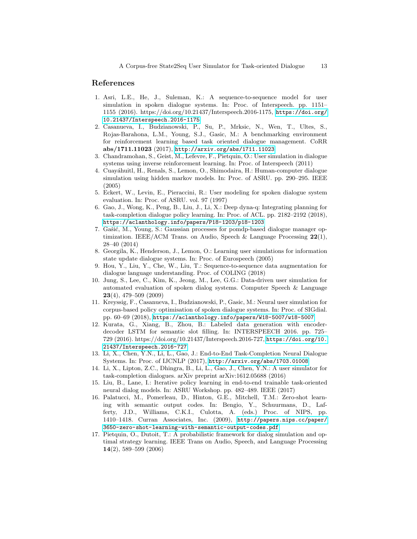# References

- <span id="page-12-6"></span>1. Asri, L.E., He, J., Suleman, K.: A sequence-to-sequence model for user simulation in spoken dialogue systems. In: Proc. of Interspeech. pp. 1151– 1155 (2016). https://doi.org/10.21437/Interspeech.2016-1175, [https://doi.org/](https://doi.org/10.21437/Interspeech.2016-1175) [10.21437/Interspeech.2016-1175](https://doi.org/10.21437/Interspeech.2016-1175)
- <span id="page-12-9"></span>2. Casanueva, I., Budzianowski, P., Su, P., Mrksic, N., Wen, T., Ultes, S., Rojas-Barahona, L.M., Young, S.J., Gasic, M.: A benchmarking environment for reinforcement learning based task oriented dialogue management. CoRR abs/1711.11023 (2017), <http://arxiv.org/abs/1711.11023>
- <span id="page-12-14"></span>3. Chandramohan, S., Geist, M., Lefevre, F., Pietquin, O.: User simulation in dialogue systems using inverse reinforcement learning. In: Proc. of Interspeech (2011)
- <span id="page-12-5"></span>4. Cuay´ahuitl, H., Renals, S., Lemon, O., Shimodaira, H.: Human-computer dialogue simulation using hidden markov models. In: Proc. of ASRU. pp. 290–295. IEEE (2005)
- <span id="page-12-13"></span>5. Eckert, W., Levin, E., Pieraccini, R.: User modeling for spoken dialogue system evaluation. In: Proc. of ASRU. vol. 97 (1997)
- <span id="page-12-8"></span>6. Gao, J., Wong, K., Peng, B., Liu, J., Li, X.: Deep dyna-q: Integrating planning for task-completion dialogue policy learning. In: Proc. of ACL. pp. 2182–2192 (2018), <https://aclanthology.info/papers/P18-1203/p18-1203>
- <span id="page-12-0"></span>7. Gašić, M., Young, S.: Gaussian processes for pomdp-based dialogue manager optimization. IEEE/ACM Trans. on Audio, Speech & Language Processing  $22(1)$ , 28–40 (2014)
- <span id="page-12-4"></span>8. Georgila, K., Henderson, J., Lemon, O.: Learning user simulations for information state update dialogue systems. In: Proc. of Eurospeech (2005)
- <span id="page-12-12"></span>9. Hou, Y., Liu, Y., Che, W., Liu, T.: Sequence-to-sequence data augmentation for dialogue language understanding. Proc. of COLING (2018)
- <span id="page-12-15"></span>10. Jung, S., Lee, C., Kim, K., Jeong, M., Lee, G.G.: Data-driven user simulation for automated evaluation of spoken dialog systems. Computer Speech & Language 23(4), 479–509 (2009)
- <span id="page-12-7"></span>11. Kreyssig, F., Casanueva, I., Budzianowski, P., Gasic, M.: Neural user simulation for corpus-based policy optimisation of spoken dialogue systems. In: Proc. of SIGdial. pp. 60–69 (2018), <https://aclanthology.info/papers/W18-5007/w18-5007>
- <span id="page-12-11"></span>12. Kurata, G., Xiang, B., Zhou, B.: Labeled data generation with encoderdecoder LSTM for semantic slot filling. In: INTERSPEECH 2016. pp. 725– 729 (2016). https://doi.org/10.21437/Interspeech.2016-727, [https://doi.org/10.](https://doi.org/10.21437/Interspeech.2016-727) [21437/Interspeech.2016-727](https://doi.org/10.21437/Interspeech.2016-727)
- <span id="page-12-2"></span>13. Li, X., Chen, Y.N., Li, L., Gao, J.: End-to-End Task-Completion Neural Dialogue Systems. In: Proc. of IJCNLP (2017), <http://arxiv.org/abs/1703.01008>
- <span id="page-12-1"></span>14. Li, X., Lipton, Z.C., Dhingra, B., Li, L., Gao, J., Chen, Y.N.: A user simulator for task-completion dialogues. arXiv preprint arXiv:1612.05688 (2016)
- <span id="page-12-16"></span>15. Liu, B., Lane, I.: Iterative policy learning in end-to-end trainable task-oriented neural dialog models. In: ASRU Workshop. pp. 482–489. IEEE (2017)
- <span id="page-12-10"></span>16. Palatucci, M., Pomerleau, D., Hinton, G.E., Mitchell, T.M.: Zero-shot learning with semantic output codes. In: Bengio, Y., Schuurmans, D., Lafferty, J.D., Williams, C.K.I., Culotta, A. (eds.) Proc. of NIPS, pp. 1410–1418. Curran Associates, Inc. (2009), [http://papers.nips.cc/paper/](http://papers.nips.cc/paper/3650-zero-shot-learning-with-semantic-output-codes.pdf) [3650-zero-shot-learning-with-semantic-output-codes.pdf](http://papers.nips.cc/paper/3650-zero-shot-learning-with-semantic-output-codes.pdf)
- <span id="page-12-3"></span>17. Pietquin, O., Dutoit, T.: A probabilistic framework for dialog simulation and optimal strategy learning. IEEE Trans on Audio, Speech, and Language Processing 14(2), 589–599 (2006)